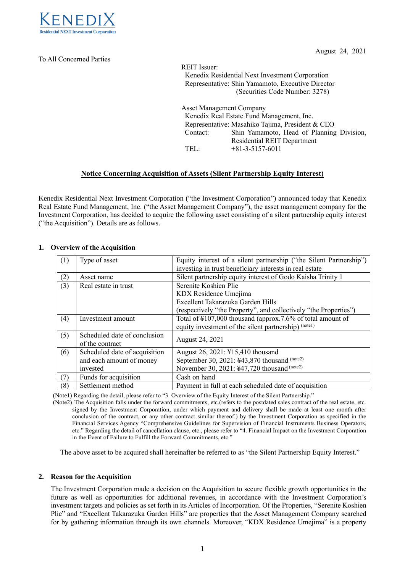

To All Concerned Parties

August 24, 2021

REIT Issuer: Kenedix Residential Next Investment Corporation Representative: Shin Yamamoto, Executive Director (Securities Code Number: 3278) Asset Management Company Kenedix Real Estate Fund Management, Inc. Representative: Masahiko Tajima, President & CEO Contact: Shin Yamamoto, Head of Planning Division,

Residential REIT Department TEL: +81-3-5157-6011

## **Notice Concerning Acquisition of Assets (Silent Partnership Equity Interest)**

Kenedix Residential Next Investment Corporation ("the Investment Corporation") announced today that Kenedix Real Estate Fund Management, Inc. ("the Asset Management Company"), the asset management company for the Investment Corporation, has decided to acquire the following asset consisting of a silent partnership equity interest ("the Acquisition"). Details are as follows.

## **1. Overview of the Acquisition**

| (1) | Type of asset                                   | Equity interest of a silent partnership ("the Silent Partnership")<br>investing in trust beneficiary interests in real estate |  |  |
|-----|-------------------------------------------------|-------------------------------------------------------------------------------------------------------------------------------|--|--|
| (2) | Asset name                                      | Silent partnership equity interest of Godo Kaisha Trinity 1                                                                   |  |  |
| (3) | Real estate in trust                            | Serenite Koshien Plie                                                                                                         |  |  |
|     |                                                 | KDX Residence Umejima                                                                                                         |  |  |
|     |                                                 | Excellent Takarazuka Garden Hills                                                                                             |  |  |
|     |                                                 | (respectively "the Property", and collectively "the Properties")                                                              |  |  |
| (4) | Investment amount                               | Total of ¥107,000 thousand (approx.7.6% of total amount of                                                                    |  |  |
|     |                                                 | equity investment of the silent partnership) (notel)                                                                          |  |  |
| (5) | Scheduled date of conclusion<br>of the contract | August 24, 2021                                                                                                               |  |  |
| (6) | Scheduled date of acquisition                   | August 26, 2021: ¥15,410 thousand                                                                                             |  |  |
|     | and each amount of money                        | September 30, 2021: ¥43,870 thousand (note2)                                                                                  |  |  |
|     | invested                                        | November 30, 2021: ¥47,720 thousand (note2)                                                                                   |  |  |
| (7) | Funds for acquisition                           | Cash on hand                                                                                                                  |  |  |
| (8) | Settlement method                               | Payment in full at each scheduled date of acquisition                                                                         |  |  |

(Note1) Regarding the detail, please refer to "3. Overview of the Equity Interest of the Silent Partnership."

(Note2) The Acquisition falls under the forward commitments, etc.(refers to the postdated sales contract of the real estate, etc. signed by the Investment Corporation, under which payment and delivery shall be made at least one month after conclusion of the contract, or any other contract similar thereof.) by the Investment Corporation as specified in the Financial Services Agency "Comprehensive Guidelines for Supervision of Financial Instruments Business Operators, etc." Regarding the detail of cancellation clause, etc., please refer to "4. Financial Impact on the Investment Corporation in the Event of Failure to Fulfill the Forward Commitments, etc."

The above asset to be acquired shall hereinafter be referred to as "the Silent Partnership Equity Interest."

## **2. Reason for the Acquisition**

The Investment Corporation made a decision on the Acquisition to secure flexible growth opportunities in the future as well as opportunities for additional revenues, in accordance with the Investment Corporation's investment targets and policies as set forth in its Articles of Incorporation. Of the Properties, "Serenite Koshien Plie" and "Excellent Takarazuka Garden Hills" are properties that the Asset Management Company searched for by gathering information through its own channels. Moreover, "KDX Residence Umejima" is a property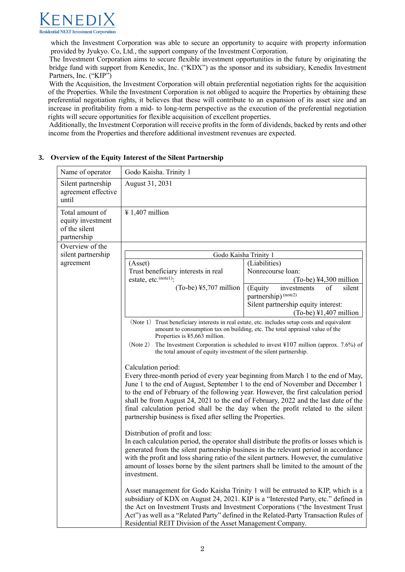

which the Investment Corporation was able to secure an opportunity to acquire with property information provided by Jyukyo. Co, Ltd., the support company of the Investment Corporation.

The Investment Corporation aims to secure flexible investment opportunities in the future by originating the bridge fund with support from Kenedix, Inc. ("KDX") as the sponsor and its subsidiary, Kenedix Investment Partners, Inc. ("KIP")

With the Acquisition, the Investment Corporation will obtain preferential negotiation rights for the acquisition of the Properties. While the Investment Corporation is not obliged to acquire the Properties by obtaining these preferential negotiation rights, it believes that these will contribute to an expansion of its asset size and an increase in profitability from a mid- to long-term perspective as the execution of the preferential negotiation rights will secure opportunities for flexible acquisition of excellent properties.

Additionally, the Investment Corporation will receive profits in the form of dividends, backed by rents and other income from the Properties and therefore additional investment revenues are expected.

| Name of operator                                                     | Godo Kaisha. Trinity 1                                                                                                                                                                                                                                                                                                                                                                                                                                                                                                                                                                                                                                                                                                                                                                                                                                                                                                                           |                                                                |  |  |
|----------------------------------------------------------------------|--------------------------------------------------------------------------------------------------------------------------------------------------------------------------------------------------------------------------------------------------------------------------------------------------------------------------------------------------------------------------------------------------------------------------------------------------------------------------------------------------------------------------------------------------------------------------------------------------------------------------------------------------------------------------------------------------------------------------------------------------------------------------------------------------------------------------------------------------------------------------------------------------------------------------------------------------|----------------------------------------------------------------|--|--|
| Silent partnership<br>agreement effective<br>until                   | August 31, 2031                                                                                                                                                                                                                                                                                                                                                                                                                                                                                                                                                                                                                                                                                                                                                                                                                                                                                                                                  |                                                                |  |  |
| Total amount of<br>equity investment<br>of the silent<br>partnership | $\frac{1}{4}$ 1,407 million                                                                                                                                                                                                                                                                                                                                                                                                                                                                                                                                                                                                                                                                                                                                                                                                                                                                                                                      |                                                                |  |  |
| Overview of the                                                      |                                                                                                                                                                                                                                                                                                                                                                                                                                                                                                                                                                                                                                                                                                                                                                                                                                                                                                                                                  |                                                                |  |  |
| silent partnership                                                   |                                                                                                                                                                                                                                                                                                                                                                                                                                                                                                                                                                                                                                                                                                                                                                                                                                                                                                                                                  | Godo Kaisha Trinity 1                                          |  |  |
| agreement                                                            | (Asset)                                                                                                                                                                                                                                                                                                                                                                                                                                                                                                                                                                                                                                                                                                                                                                                                                                                                                                                                          | (Liabilities)                                                  |  |  |
|                                                                      | Trust beneficiary interests in real                                                                                                                                                                                                                                                                                                                                                                                                                                                                                                                                                                                                                                                                                                                                                                                                                                                                                                              | Nonrecourse loan:                                              |  |  |
|                                                                      | estate, etc. <sup>(notel)</sup> :                                                                                                                                                                                                                                                                                                                                                                                                                                                                                                                                                                                                                                                                                                                                                                                                                                                                                                                | $(To-be)$ ¥4,300 million                                       |  |  |
|                                                                      | $(To-be)$ ¥5,707 million                                                                                                                                                                                                                                                                                                                                                                                                                                                                                                                                                                                                                                                                                                                                                                                                                                                                                                                         | (Equity<br>silent<br>investments<br>οf<br>partnership) (note2) |  |  |
|                                                                      |                                                                                                                                                                                                                                                                                                                                                                                                                                                                                                                                                                                                                                                                                                                                                                                                                                                                                                                                                  | Silent partnership equity interest:                            |  |  |
|                                                                      |                                                                                                                                                                                                                                                                                                                                                                                                                                                                                                                                                                                                                                                                                                                                                                                                                                                                                                                                                  | $(To-be)$ ¥1,407 million                                       |  |  |
|                                                                      | (Note 1) Trust beneficiary interests in real estate, etc. includes setup costs and equivalent<br>amount to consumption tax on building, etc. The total appraisal value of the<br>Properties is $45,663$ million.<br>The Investment Corporation is scheduled to invest $\frac{4107}{100}$ million (approx. 7.6%) of<br>(Note 2)<br>the total amount of equity investment of the silent partnership.                                                                                                                                                                                                                                                                                                                                                                                                                                                                                                                                               |                                                                |  |  |
|                                                                      | Calculation period:<br>Every three-month period of every year beginning from March 1 to the end of May,<br>June 1 to the end of August, September 1 to the end of November and December 1<br>to the end of February of the following year. However, the first calculation period<br>shall be from August 24, 2021 to the end of February, 2022 and the last date of the<br>final calculation period shall be the day when the profit related to the silent<br>partnership business is fixed after selling the Properties.<br>Distribution of profit and loss:<br>In each calculation period, the operator shall distribute the profits or losses which is<br>generated from the silent partnership business in the relevant period in accordance<br>with the profit and loss sharing ratio of the silent partners. However, the cumulative<br>amount of losses borne by the silent partners shall be limited to the amount of the<br>investment. |                                                                |  |  |
|                                                                      |                                                                                                                                                                                                                                                                                                                                                                                                                                                                                                                                                                                                                                                                                                                                                                                                                                                                                                                                                  |                                                                |  |  |
|                                                                      | Asset management for Godo Kaisha Trinity 1 will be entrusted to KIP, which is a<br>subsidiary of KDX on August 24, 2021. KIP is a "Interested Party, etc." defined in<br>the Act on Investment Trusts and Investment Corporations ("the Investment Trust<br>Act") as well as a "Related Party" defined in the Related-Party Transaction Rules of<br>Residential REIT Division of the Asset Management Company.                                                                                                                                                                                                                                                                                                                                                                                                                                                                                                                                   |                                                                |  |  |

## **3. Overview of the Equity Interest of the Silent Partnership**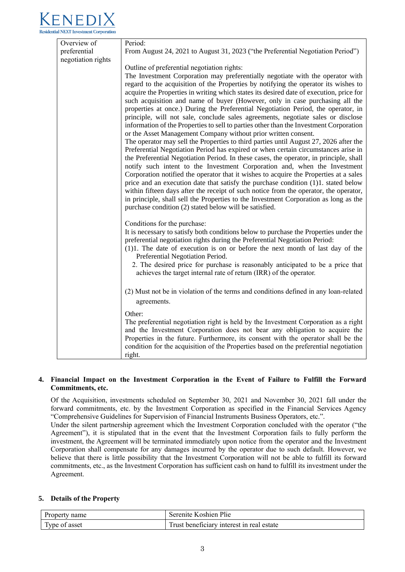

| Overview of        | Period:                                                                                                                                                                        |
|--------------------|--------------------------------------------------------------------------------------------------------------------------------------------------------------------------------|
| preferential       | From August 24, 2021 to August 31, 2023 ("the Preferential Negotiation Period")                                                                                                |
| negotiation rights |                                                                                                                                                                                |
|                    | Outline of preferential negotiation rights:                                                                                                                                    |
|                    | The Investment Corporation may preferentially negotiate with the operator with                                                                                                 |
|                    | regard to the acquisition of the Properties by notifying the operator its wishes to<br>acquire the Properties in writing which states its desired date of execution, price for |
|                    | such acquisition and name of buyer (However, only in case purchasing all the                                                                                                   |
|                    | properties at once.) During the Preferential Negotiation Period, the operator, in                                                                                              |
|                    | principle, will not sale, conclude sales agreements, negotiate sales or disclose                                                                                               |
|                    | information of the Properties to sell to parties other than the Investment Corporation                                                                                         |
|                    | or the Asset Management Company without prior written consent.                                                                                                                 |
|                    | The operator may sell the Properties to third parties until August 27, 2026 after the                                                                                          |
|                    | Preferential Negotiation Period has expired or when certain circumstances arise in                                                                                             |
|                    | the Preferential Negotiation Period. In these cases, the operator, in principle, shall                                                                                         |
|                    | notify such intent to the Investment Corporation and, when the Investment                                                                                                      |
|                    | Corporation notified the operator that it wishes to acquire the Properties at a sales                                                                                          |
|                    | price and an execution date that satisfy the purchase condition (1)1. stated below                                                                                             |
|                    | within fifteen days after the receipt of such notice from the operator, the operator,                                                                                          |
|                    | in principle, shall sell the Properties to the Investment Corporation as long as the                                                                                           |
|                    | purchase condition (2) stated below will be satisfied.                                                                                                                         |
|                    |                                                                                                                                                                                |
|                    | Conditions for the purchase:<br>It is necessary to satisfy both conditions below to purchase the Properties under the                                                          |
|                    | preferential negotiation rights during the Preferential Negotiation Period:                                                                                                    |
|                    | (1)1. The date of execution is on or before the next month of last day of the                                                                                                  |
|                    | Preferential Negotiation Period.                                                                                                                                               |
|                    | 2. The desired price for purchase is reasonably anticipated to be a price that                                                                                                 |
|                    | achieves the target internal rate of return (IRR) of the operator.                                                                                                             |
|                    |                                                                                                                                                                                |
|                    | (2) Must not be in violation of the terms and conditions defined in any loan-related                                                                                           |
|                    | agreements.                                                                                                                                                                    |
|                    | Other:                                                                                                                                                                         |
|                    | The preferential negotiation right is held by the Investment Corporation as a right                                                                                            |
|                    | and the Investment Corporation does not bear any obligation to acquire the                                                                                                     |
|                    | Properties in the future. Furthermore, its consent with the operator shall be the                                                                                              |
|                    | condition for the acquisition of the Properties based on the preferential negotiation                                                                                          |
|                    | right.                                                                                                                                                                         |

## **4. Financial Impact on the Investment Corporation in the Event of Failure to Fulfill the Forward Commitments, etc.**

Of the Acquisition, investments scheduled on September 30, 2021 and November 30, 2021 fall under the forward commitments, etc. by the Investment Corporation as specified in the Financial Services Agency "Comprehensive Guidelines for Supervision of Financial Instruments Business Operators, etc.".

Under the silent partnership agreement which the Investment Corporation concluded with the operator ("the Agreement"), it is stipulated that in the event that the Investment Corporation fails to fully perform the investment, the Agreement will be terminated immediately upon notice from the operator and the Investment Corporation shall compensate for any damages incurred by the operator due to such default. However, we believe that there is little possibility that the Investment Corporation will not be able to fulfill its forward commitments, etc., as the Investment Corporation has sufficient cash on hand to fulfill its investment under the Agreement.

## **5. Details of the Property**

| Property name               | Serenite Koshien Plie                     |
|-----------------------------|-------------------------------------------|
| Type of $\epsilon$<br>asset | Trust beneficiary interest in real estate |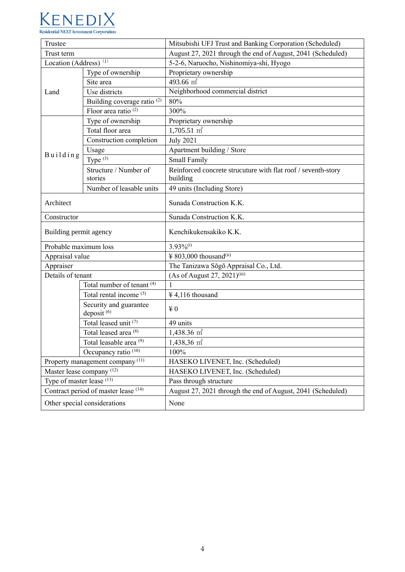

| Trustee                                                               |                                                  | Mitsubishi UFJ Trust and Banking Corporation (Scheduled)      |  |
|-----------------------------------------------------------------------|--------------------------------------------------|---------------------------------------------------------------|--|
| Trust term                                                            |                                                  | August 27, 2021 through the end of August, 2041 (Scheduled)   |  |
| Location (Address) $\overline{1}$                                     |                                                  | 5-2-6, Naruocho, Nishinomiya-shi, Hyogo                       |  |
|                                                                       | Type of ownership                                | Proprietary ownership                                         |  |
|                                                                       | Site area                                        | 493.66 $\overline{m^2}$                                       |  |
| Land                                                                  | Use districts                                    | Neighborhood commercial district                              |  |
|                                                                       | Building coverage ratio <sup>(2)</sup>           | 80%                                                           |  |
|                                                                       | Floor area ratio <sup>(2)</sup>                  | 300%                                                          |  |
|                                                                       | Type of ownership                                | Proprietary ownership                                         |  |
|                                                                       | Total floor area                                 | $1,705.51 \text{ m}^2$                                        |  |
|                                                                       | Construction completion                          | <b>July 2021</b>                                              |  |
|                                                                       | Usage                                            | Apartment building / Store                                    |  |
| Building                                                              | Type $(3)$                                       | <b>Small Family</b>                                           |  |
|                                                                       | Structure / Number of                            | Reinforced concrete strucuture with flat roof / seventh-story |  |
|                                                                       | stories                                          | building                                                      |  |
|                                                                       | Number of leasable units                         | 49 units (Including Store)                                    |  |
| Architect                                                             |                                                  | Sunada Construction K.K.                                      |  |
| Constructor                                                           |                                                  | Sunada Construction K.K.                                      |  |
|                                                                       |                                                  |                                                               |  |
| Building permit agency                                                |                                                  | Kenchikukensakiko K.K.                                        |  |
| Probable maximum loss                                                 |                                                  | $3.93\%$ <sup>(i)</sup>                                       |  |
| Appraisal value                                                       |                                                  | ¥ 803,000 thousand <sup>(ii)</sup>                            |  |
| Appraiser                                                             |                                                  | The Tanizawa Sōgō Appraisal Co., Ltd.                         |  |
| Details of tenant                                                     |                                                  | (As of August 27, 2021) <sup>(iii)</sup>                      |  |
|                                                                       | Total number of tenant <sup>(4)</sup>            | 1                                                             |  |
|                                                                       | Total rental income (5)                          | $\frac{1}{2}$ 4,116 thousand                                  |  |
|                                                                       | Security and guarantee<br>deposit <sup>(6)</sup> | $\angle 0$                                                    |  |
|                                                                       | Total leased unit (7)                            | 49 units                                                      |  |
| Total leased area <sup>(8)</sup>                                      |                                                  | $1,438.36 \text{ m}^2$                                        |  |
| Total leasable area <sup>(9)</sup><br>Occupancy ratio <sup>(10)</sup> |                                                  | 1,438,36 m <sup>2</sup>                                       |  |
|                                                                       |                                                  | 100%                                                          |  |
| Property management company <sup>(11)</sup>                           |                                                  | HASEKO LIVENET, Inc. (Scheduled)                              |  |
| Master lease company <sup>(12)</sup>                                  |                                                  | HASEKO LIVENET, Inc. (Scheduled)                              |  |
| Type of master lease (13)                                             |                                                  | Pass through structure                                        |  |
| Contract period of master lease (14)                                  |                                                  | August 27, 2021 through the end of August, 2041 (Scheduled)   |  |
| Other special considerations                                          |                                                  | None                                                          |  |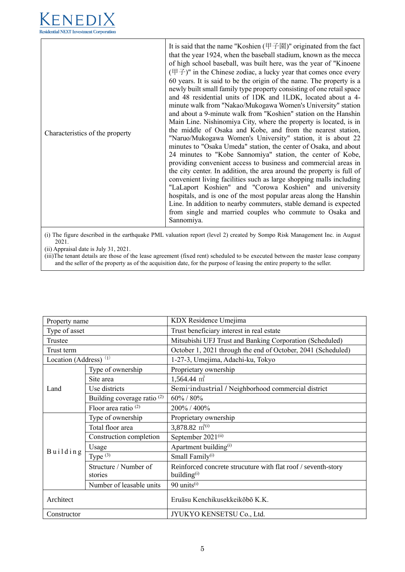

| Characteristics of the property | It is said that the name "Koshien (甲子園)" originated from the fact<br>that the year 1924, when the baseball stadium, known as the mecca<br>of high school baseball, was built here, was the year of "Kinoene"<br>$(\nexists \vec{\theta})$ " in the Chinese zodiac, a lucky year that comes once every<br>60 years. It is said to be the origin of the name. The property is a<br>newly built small family type property consisting of one retail space<br>and 48 residential units of 1DK and 1LDK, located about a 4-<br>minute walk from "Nakao/Mukogawa Women's University" station<br>and about a 9-minute walk from "Koshien" station on the Hanshin<br>Main Line. Nishinomiya City, where the property is located, is in<br>the middle of Osaka and Kobe, and from the nearest station,<br>"Naruo/Mukogawa Women's University" station, it is about 22<br>minutes to "Osaka Umeda" station, the center of Osaka, and about<br>24 minutes to "Kobe Sannomiya" station, the center of Kobe,<br>providing convenient access to business and commercial areas in<br>the city center. In addition, the area around the property is full of<br>convenient living facilities such as large shopping malls including<br>"LaLaport Koshien" and "Corowa Koshien" and university<br>hospitals, and is one of the most popular areas along the Hanshin<br>Line. In addition to nearby commuters, stable demand is expected<br>from single and married couples who commute to Osaka and<br>Sannomiya. |
|---------------------------------|-------------------------------------------------------------------------------------------------------------------------------------------------------------------------------------------------------------------------------------------------------------------------------------------------------------------------------------------------------------------------------------------------------------------------------------------------------------------------------------------------------------------------------------------------------------------------------------------------------------------------------------------------------------------------------------------------------------------------------------------------------------------------------------------------------------------------------------------------------------------------------------------------------------------------------------------------------------------------------------------------------------------------------------------------------------------------------------------------------------------------------------------------------------------------------------------------------------------------------------------------------------------------------------------------------------------------------------------------------------------------------------------------------------------------------------------------------------------------------------------------|
|---------------------------------|-------------------------------------------------------------------------------------------------------------------------------------------------------------------------------------------------------------------------------------------------------------------------------------------------------------------------------------------------------------------------------------------------------------------------------------------------------------------------------------------------------------------------------------------------------------------------------------------------------------------------------------------------------------------------------------------------------------------------------------------------------------------------------------------------------------------------------------------------------------------------------------------------------------------------------------------------------------------------------------------------------------------------------------------------------------------------------------------------------------------------------------------------------------------------------------------------------------------------------------------------------------------------------------------------------------------------------------------------------------------------------------------------------------------------------------------------------------------------------------------------|

(i) The figure described in the earthquake PML valuation report (level 2) created by Sompo Risk Management Inc. in August 2021.

(ii) Appraisal date is July 31, 2021.

(iii)The tenant details are those of the lease agreement (fixed rent) scheduled to be executed between the master lease company and the seller of the property as of the acquisition date, for the purpose of leasing the entire property to the seller.

| Property name                     |                                        | KDX Residence Umejima                                         |  |
|-----------------------------------|----------------------------------------|---------------------------------------------------------------|--|
| Type of asset                     |                                        | Trust beneficiary interest in real estate                     |  |
| Trustee                           |                                        | Mitsubishi UFJ Trust and Banking Corporation (Scheduled)      |  |
| Trust term                        |                                        | October 1, 2021 through the end of October, 2041 (Scheduled)  |  |
| Location (Address) <sup>(1)</sup> |                                        | 1-27-3, Umejima, Adachi-ku, Tokyo                             |  |
|                                   | Type of ownership                      | Proprietary ownership                                         |  |
|                                   | Site area                              | $1,564.44 \text{ m}^2$                                        |  |
| Land                              | Use districts                          | Semi-industrial / Neighborhood commercial district            |  |
|                                   | Building coverage ratio <sup>(2)</sup> | 60% / 80%                                                     |  |
|                                   | Floor area ratio $(2)$                 | 200% / 400%                                                   |  |
|                                   | Type of ownership                      | Proprietary ownership                                         |  |
|                                   | Total floor area                       | 3,878.82 $m^{2(i)}$                                           |  |
|                                   | Construction completion                | September 2021(ii)                                            |  |
| Building                          | Usage                                  | Apartment building <sup>(i)</sup>                             |  |
|                                   | Type $(3)$                             | Small Family <sup>(i)</sup>                                   |  |
|                                   | Structure / Number of                  | Reinforced concrete strucuture with flat roof / seventh-story |  |
|                                   | stories                                | building $^{(i)}$                                             |  |
|                                   | Number of leasable units               | 90 units <sup>(i)</sup>                                       |  |
| Architect                         |                                        | Eruāsu Kenchikusekkeikōbō K.K.                                |  |
| Constructor                       |                                        | JYUKYO KENSETSU Co., Ltd.                                     |  |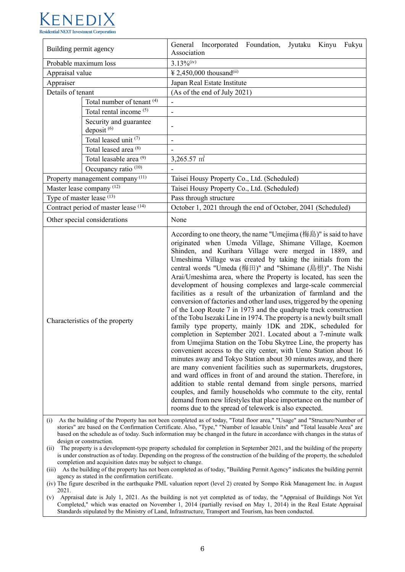

| Building permit agency               |                                                                                            | General Incorporated Foundation, Jyutaku Kinyu Fukyu<br>Association                                                                                                                                                                                                                                                                                                                                                                                                                                                                                                                                                                                                                                                                                                                                                                                                                                                                                                                                                                                                                                                                                                                                                                                                                                                                                                                                                                                                                       |  |  |
|--------------------------------------|--------------------------------------------------------------------------------------------|-------------------------------------------------------------------------------------------------------------------------------------------------------------------------------------------------------------------------------------------------------------------------------------------------------------------------------------------------------------------------------------------------------------------------------------------------------------------------------------------------------------------------------------------------------------------------------------------------------------------------------------------------------------------------------------------------------------------------------------------------------------------------------------------------------------------------------------------------------------------------------------------------------------------------------------------------------------------------------------------------------------------------------------------------------------------------------------------------------------------------------------------------------------------------------------------------------------------------------------------------------------------------------------------------------------------------------------------------------------------------------------------------------------------------------------------------------------------------------------------|--|--|
| Probable maximum loss                |                                                                                            | $3.13\%$ <sup>(iv)</sup>                                                                                                                                                                                                                                                                                                                                                                                                                                                                                                                                                                                                                                                                                                                                                                                                                                                                                                                                                                                                                                                                                                                                                                                                                                                                                                                                                                                                                                                                  |  |  |
| Appraisal value                      |                                                                                            | ¥ 2,450,000 thousand <sup>(ii)</sup>                                                                                                                                                                                                                                                                                                                                                                                                                                                                                                                                                                                                                                                                                                                                                                                                                                                                                                                                                                                                                                                                                                                                                                                                                                                                                                                                                                                                                                                      |  |  |
| Appraiser                            |                                                                                            | Japan Real Estate Institute                                                                                                                                                                                                                                                                                                                                                                                                                                                                                                                                                                                                                                                                                                                                                                                                                                                                                                                                                                                                                                                                                                                                                                                                                                                                                                                                                                                                                                                               |  |  |
| Details of tenant                    |                                                                                            | (As of the end of July 2021)                                                                                                                                                                                                                                                                                                                                                                                                                                                                                                                                                                                                                                                                                                                                                                                                                                                                                                                                                                                                                                                                                                                                                                                                                                                                                                                                                                                                                                                              |  |  |
|                                      | Total number of tenant (4)                                                                 | $\overline{\phantom{a}}$                                                                                                                                                                                                                                                                                                                                                                                                                                                                                                                                                                                                                                                                                                                                                                                                                                                                                                                                                                                                                                                                                                                                                                                                                                                                                                                                                                                                                                                                  |  |  |
|                                      | Total rental income (5)                                                                    | $\overline{a}$                                                                                                                                                                                                                                                                                                                                                                                                                                                                                                                                                                                                                                                                                                                                                                                                                                                                                                                                                                                                                                                                                                                                                                                                                                                                                                                                                                                                                                                                            |  |  |
|                                      | Security and guarantee<br>deposit <sup>(6)</sup>                                           | $\overline{\phantom{a}}$                                                                                                                                                                                                                                                                                                                                                                                                                                                                                                                                                                                                                                                                                                                                                                                                                                                                                                                                                                                                                                                                                                                                                                                                                                                                                                                                                                                                                                                                  |  |  |
|                                      | Total leased unit (7)                                                                      |                                                                                                                                                                                                                                                                                                                                                                                                                                                                                                                                                                                                                                                                                                                                                                                                                                                                                                                                                                                                                                                                                                                                                                                                                                                                                                                                                                                                                                                                                           |  |  |
|                                      | Total leased area <sup>(8)</sup>                                                           |                                                                                                                                                                                                                                                                                                                                                                                                                                                                                                                                                                                                                                                                                                                                                                                                                                                                                                                                                                                                                                                                                                                                                                                                                                                                                                                                                                                                                                                                                           |  |  |
|                                      | Total leasable area <sup>(9)</sup>                                                         | $3,265.57 \text{ m}^2$                                                                                                                                                                                                                                                                                                                                                                                                                                                                                                                                                                                                                                                                                                                                                                                                                                                                                                                                                                                                                                                                                                                                                                                                                                                                                                                                                                                                                                                                    |  |  |
|                                      | Occupancy ratio <sup>(10)</sup>                                                            |                                                                                                                                                                                                                                                                                                                                                                                                                                                                                                                                                                                                                                                                                                                                                                                                                                                                                                                                                                                                                                                                                                                                                                                                                                                                                                                                                                                                                                                                                           |  |  |
|                                      | Property management company <sup>(11)</sup><br>Taisei Housy Property Co., Ltd. (Scheduled) |                                                                                                                                                                                                                                                                                                                                                                                                                                                                                                                                                                                                                                                                                                                                                                                                                                                                                                                                                                                                                                                                                                                                                                                                                                                                                                                                                                                                                                                                                           |  |  |
|                                      | Master lease company <sup>(12)</sup>                                                       | Taisei Housy Property Co., Ltd. (Scheduled)                                                                                                                                                                                                                                                                                                                                                                                                                                                                                                                                                                                                                                                                                                                                                                                                                                                                                                                                                                                                                                                                                                                                                                                                                                                                                                                                                                                                                                               |  |  |
| Type of master lease (13)            |                                                                                            | Pass through structure                                                                                                                                                                                                                                                                                                                                                                                                                                                                                                                                                                                                                                                                                                                                                                                                                                                                                                                                                                                                                                                                                                                                                                                                                                                                                                                                                                                                                                                                    |  |  |
| Contract period of master lease (14) |                                                                                            | October 1, 2021 through the end of October, 2041 (Scheduled)                                                                                                                                                                                                                                                                                                                                                                                                                                                                                                                                                                                                                                                                                                                                                                                                                                                                                                                                                                                                                                                                                                                                                                                                                                                                                                                                                                                                                              |  |  |
|                                      | Other special considerations                                                               | None                                                                                                                                                                                                                                                                                                                                                                                                                                                                                                                                                                                                                                                                                                                                                                                                                                                                                                                                                                                                                                                                                                                                                                                                                                                                                                                                                                                                                                                                                      |  |  |
|                                      | Characteristics of the property                                                            | According to one theory, the name "Umejima (梅島)" is said to have<br>originated when Umeda Village, Shimane Village, Koemon<br>Shinden, and Kurihara Village were merged in 1889, and<br>Umeshima Village was created by taking the initials from the<br>central words "Umeda (梅田)" and "Shimane (島根)". The Nishi<br>Arai/Umeshima area, where the Property is located, has seen the<br>development of housing complexes and large-scale commercial<br>facilities as a result of the urbanization of farmland and the<br>conversion of factories and other land uses, triggered by the opening<br>of the Loop Route 7 in 1973 and the quadruple track construction<br>of the Tobu Isezaki Line in 1974. The property is a newly built small<br>family type property, mainly 1DK and 2DK, scheduled for<br>completion in September 2021. Located about a 7-minute walk<br>from Umejima Station on the Tobu Skytree Line, the property has<br>convenient access to the city center, with Ueno Station about 16<br>minutes away and Tokyo Station about 30 minutes away, and there<br>are many convenient facilities such as supermarkets, drugstores,<br>and ward offices in front of and around the station. Therefore, in<br>addition to stable rental demand from single persons, married<br>couples, and family households who commute to the city, rental<br>demand from new lifestyles that place importance on the number of<br>rooms due to the spread of telework is also expected. |  |  |

(i) As the building of the Property has not been completed as of today, "Total floor area," "Usage" and "Structure/Number of stories" are based on the Confirmation Certificate. Also, "Type," "Number of leasable Units" and "Total leasable Area" are based on the schedule as of today. Such information may be changed in the future in accordance with changes in the status of design or construction.

(ii) The property is a development-type property scheduled for completion in September 2021, and the building of the property is under construction as of today. Depending on the progress of the construction of the building of the property, the scheduled completion and acquisition dates may be subject to change.

(iii) As the building of the property has not been completed as of today, "Building Permit Agency" indicates the building permit agency as stated in the confirmation certificate.

(iv) The figure described in the earthquake PML valuation report (level 2) created by Sompo Risk Management Inc. in August 2021.

(v) Appraisal date is July 1, 2021. As the building is not yet completed as of today, the "Appraisal of Buildings Not Yet Completed," which was enacted on November 1, 2014 (partially revised on May 1, 2014) in the Real Estate Appraisal Standards stipulated by the Ministry of Land, Infrastructure, Transport and Tourism, has been conducted.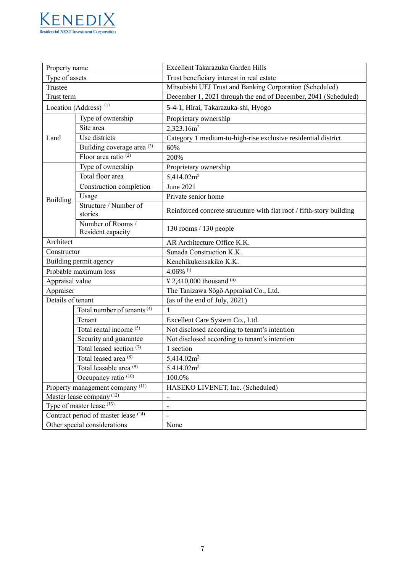

| Property name                                                                                                                                                     |                                        | Excellent Takarazuka Garden Hills                                    |  |
|-------------------------------------------------------------------------------------------------------------------------------------------------------------------|----------------------------------------|----------------------------------------------------------------------|--|
| Type of assets                                                                                                                                                    |                                        | Trust beneficiary interest in real estate                            |  |
| Trustee                                                                                                                                                           |                                        | Mitsubishi UFJ Trust and Banking Corporation (Scheduled)             |  |
| Trust term                                                                                                                                                        |                                        | December 1, 2021 through the end of December, 2041 (Scheduled)       |  |
|                                                                                                                                                                   | Location (Address) <sup>(1)</sup>      | 5-4-1, Hirai, Takarazuka-shi, Hyogo                                  |  |
|                                                                                                                                                                   | Type of ownership                      | Proprietary ownership                                                |  |
|                                                                                                                                                                   | Site area                              | 2,323.16m <sup>2</sup>                                               |  |
| Land                                                                                                                                                              | Use districts                          | Category 1 medium-to-high-rise exclusive residential district        |  |
|                                                                                                                                                                   | Building coverage area <sup>(2)</sup>  | 60%                                                                  |  |
|                                                                                                                                                                   | Floor area ratio $(2)$                 | 200%                                                                 |  |
|                                                                                                                                                                   | Type of ownership                      | Proprietary ownership                                                |  |
|                                                                                                                                                                   | Total floor area                       | 5,414.02m <sup>2</sup>                                               |  |
|                                                                                                                                                                   | Construction completion                | <b>June 2021</b>                                                     |  |
| <b>Building</b>                                                                                                                                                   | Usage                                  | Private senior home                                                  |  |
|                                                                                                                                                                   | Structure / Number of<br>stories       | Reinforced concrete strucuture with flat roof / fifth-story building |  |
|                                                                                                                                                                   | Number of Rooms /<br>Resident capacity | 130 rooms / 130 people                                               |  |
| Architect                                                                                                                                                         |                                        | AR Architecture Office K.K.                                          |  |
| Constructor                                                                                                                                                       |                                        | Sunada Construction K.K.                                             |  |
| Building permit agency                                                                                                                                            |                                        | Kenchikukensakiko K.K.                                               |  |
|                                                                                                                                                                   | Probable maximum loss                  | $4.06\%$ <sup>(i)</sup>                                              |  |
| Appraisal value                                                                                                                                                   |                                        | ¥ 2,410,000 thousand (ii)                                            |  |
| Appraiser                                                                                                                                                         |                                        | The Tanizawa Sōgō Appraisal Co., Ltd.                                |  |
| Details of tenant                                                                                                                                                 |                                        | (as of the end of July, 2021)                                        |  |
|                                                                                                                                                                   | Total number of tenants <sup>(4)</sup> |                                                                      |  |
|                                                                                                                                                                   | Tenant                                 | Excellent Care System Co., Ltd.                                      |  |
|                                                                                                                                                                   | Total rental income (5)                | Not disclosed according to tenant's intention                        |  |
| Security and guarantee<br>Total leased section <sup>(7)</sup><br>Total leased area <sup>(8)</sup><br>Total leasable area <sup>(9)</sup><br>Occupancy ratio $(10)$ |                                        | Not disclosed according to tenant's intention                        |  |
|                                                                                                                                                                   |                                        | 1 section                                                            |  |
|                                                                                                                                                                   |                                        | 5,414.02m <sup>2</sup>                                               |  |
|                                                                                                                                                                   |                                        | 5.414.02m <sup>2</sup>                                               |  |
|                                                                                                                                                                   |                                        | 100.0%                                                               |  |
| Property management company <sup>(11)</sup>                                                                                                                       |                                        | HASEKO LIVENET, Inc. (Scheduled)                                     |  |
| Master lease company <sup>(12)</sup>                                                                                                                              |                                        | $\qquad \qquad -$                                                    |  |
| Type of master lease (13)                                                                                                                                         |                                        | $\overline{\phantom{a}}$                                             |  |
| Contract period of master lease (14)                                                                                                                              |                                        | $\overline{\phantom{m}}$                                             |  |
| Other special considerations                                                                                                                                      |                                        | None                                                                 |  |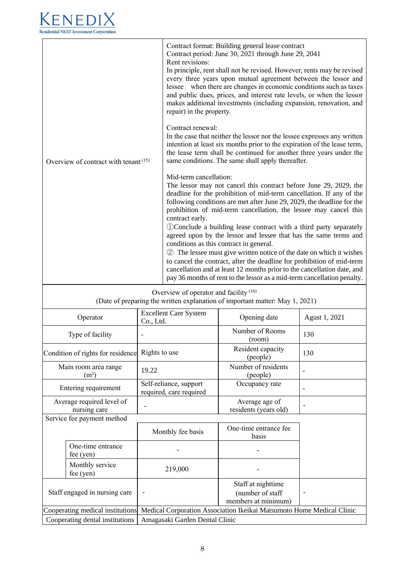

| Overview of contract with tenant <sup>(15)</sup>                                                                         |               | Contract format: Building general lease contract<br>Contract period: June 30, 2021 through June 29, 2041<br>Rent revisions:<br>In principle, rent shall not be revised. However, rents may be revised<br>every three years upon mutual agreement between the lessor and<br>lessee when there are changes in economic conditions such as taxes<br>and public dues, prices, and interest rate levels, or when the lessor<br>makes additional investments (including expansion, renovation, and<br>repair) in the property.                                                                                                                                                                                                                                                                                                          |                               |               |
|--------------------------------------------------------------------------------------------------------------------------|---------------|-----------------------------------------------------------------------------------------------------------------------------------------------------------------------------------------------------------------------------------------------------------------------------------------------------------------------------------------------------------------------------------------------------------------------------------------------------------------------------------------------------------------------------------------------------------------------------------------------------------------------------------------------------------------------------------------------------------------------------------------------------------------------------------------------------------------------------------|-------------------------------|---------------|
|                                                                                                                          |               | Contract renewal:<br>In the case that neither the lessor nor the lessee expresses any written<br>intention at least six months prior to the expiration of the lease term,<br>the lease term shall be continued for another three years under the<br>same conditions. The same shall apply thereafter.                                                                                                                                                                                                                                                                                                                                                                                                                                                                                                                             |                               |               |
|                                                                                                                          |               | Mid-term cancellation:<br>The lessor may not cancel this contract before June 29, 2029, the<br>deadline for the prohibition of mid-term cancellation. If any of the<br>following conditions are met after June 29, 2029, the deadline for the<br>prohibition of mid-term cancellation, the lessee may cancel this<br>contract early.<br>1 Conclude a building lease contract with a third party separately<br>agreed upon by the lessor and lessee that has the same terms and<br>conditions as this contract in general.<br>2 The lessee must give written notice of the date on which it wishes<br>to cancel the contract, after the deadline for prohibition of mid-term<br>cancellation and at least 12 months prior to the cancellation date, and<br>pay 36 months of rent to the lessor as a mid-term cancellation penalty. |                               |               |
| Overview of operator and facility $(16)$<br>(Date of preparing the written explanation of important matter: May 1, 2021) |               |                                                                                                                                                                                                                                                                                                                                                                                                                                                                                                                                                                                                                                                                                                                                                                                                                                   |                               |               |
| Operator<br>Co., Ltd.                                                                                                    |               | <b>Excellent Care System</b>                                                                                                                                                                                                                                                                                                                                                                                                                                                                                                                                                                                                                                                                                                                                                                                                      | Opening date                  | Agust 1, 2021 |
| Type of facility                                                                                                         |               |                                                                                                                                                                                                                                                                                                                                                                                                                                                                                                                                                                                                                                                                                                                                                                                                                                   | Number of Rooms<br>(room)     | 130           |
| Condition of rights for residence                                                                                        | Rights to use |                                                                                                                                                                                                                                                                                                                                                                                                                                                                                                                                                                                                                                                                                                                                                                                                                                   | Resident capacity<br>(people) | 130           |

|                                           | Main room area range<br>(m <sup>2</sup> ) | 19.22                                                                 | Number of residents<br>(people)                               |  |
|-------------------------------------------|-------------------------------------------|-----------------------------------------------------------------------|---------------------------------------------------------------|--|
|                                           | Entering requirement                      | Self-reliance, support<br>required, care required                     | Occupancy rate                                                |  |
| Average required level of<br>nursing care |                                           |                                                                       | Average age of<br>residents (years old)                       |  |
|                                           | Service fee payment method                |                                                                       |                                                               |  |
|                                           |                                           | Monthly fee basis                                                     | One-time entrance fee<br>basis                                |  |
|                                           | One-time entrance<br>$fee$ (yen)          |                                                                       |                                                               |  |
|                                           | Monthly service<br>fee $(yen)$            | 219,000                                                               |                                                               |  |
| Staff engaged in nursing care             |                                           |                                                                       | Staff at nighttime<br>(number of staff<br>members at minimum) |  |
| Cooperating medical institutions          |                                           | Medical Corporation Association Ikeikai Matsumoto Home Medical Clinic |                                                               |  |
| Cooperating dental institutions           |                                           | Amagasaki Garden Dental Clinic                                        |                                                               |  |
|                                           |                                           |                                                                       |                                                               |  |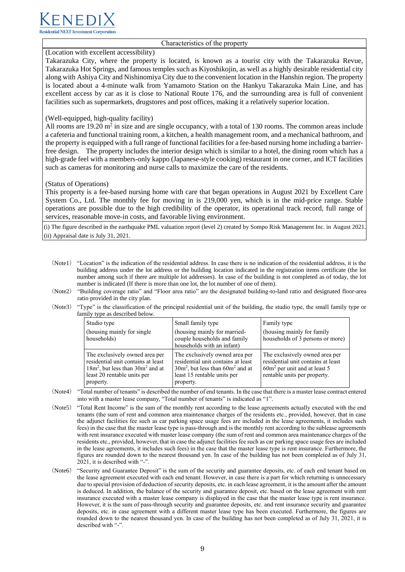

Characteristics of the property

#### (Location with excellent accessibility)

Takarazuka City, where the property is located, is known as a tourist city with the Takarazuka Revue, Takarazuka Hot Springs, and famous temples such as Kiyoshikojin, as well as a highly desirable residential city along with Ashiya City and Nishinomiya City due to the convenient location in the Hanshin region. The property is located about a 4-minute walk from Yamamoto Station on the Hankyu Takarazuka Main Line, and has excellent access by car as it is close to National Route 176, and the surrounding area is full of convenient facilities such as supermarkets, drugstores and post offices, making it a relatively superior location.

#### (Well-equipped, high-quality facility)

All rooms are  $19.20 \text{ m}^2$  in size and are single occupancy, with a total of 130 rooms. The common areas include a cafeteria and functional training room, a kitchen, a health management room, and a mechanical bathroom, and the property is equipped with a full range of functional facilities for a fee-based nursing home including a barrierfree design. The property includes the interior design which is similar to a hotel, the dining room which has a high-grade feel with a members-only kappo (Japanese-style cooking) restaurant in one corner, and ICT facilities such as cameras for monitoring and nurse calls to maximize the care of the residents.

#### (Status of Operations)

This property is a fee-based nursing home with care that began operations in August 2021 by Excellent Care System Co., Ltd. The monthly fee for moving in is 219,000 yen, which is in the mid-price range. Stable operations are possible due to the high credibility of the operator, its operational track record, full range of services, reasonable move-in costs, and favorable living environment.

(i) The figure described in the earthquake PML valuation report (level 2) created by Sompo Risk Management Inc. in August 2021. (ii) Appraisal date is July 31, 2021.

- (Note1) "Location" is the indication of the residential address. In case there is no indication of the residential address, it is the building address under the lot address or the building location indicated in the registration items certificate (the lot number among such if there are multiple lot addresses). In case of the building is not completed as of today, the lot number is indicated (If there is more than one lot, the lot number of one of them).
- (Note2) "Building coverage ratio" and "Floor area ratio" are the designated building-to-land ratio and designated floor-area ratio provided in the city plan.
- (Note3) "Type" is the classification of the principal residential unit of the building, the studio type, the small family type or family type as described below.

| Studio type                                                                                                                                                | Small family type                                                                                                                                        | Family type                                                                                                                            |
|------------------------------------------------------------------------------------------------------------------------------------------------------------|----------------------------------------------------------------------------------------------------------------------------------------------------------|----------------------------------------------------------------------------------------------------------------------------------------|
| (housing mainly for single)<br>households)                                                                                                                 | (housing mainly for married-<br>couple households and family<br>households with an infant)                                                               | (housing mainly for family<br>households of 3 persons or more)                                                                         |
| The exclusively owned area per<br>residential unit contains at least<br>$18m^2$ , but less than $30m^2$ and at<br>least 20 rentable units per<br>property. | The exclusively owned area per<br>residential unit contains at least<br>$30m2$ , but less than $60m2$ and at<br>least 15 rentable units per<br>property. | The exclusively owned area per<br>residential unit contains at least<br>$60m2$ per unit and at least 5<br>rentable units per property. |

- (Note4) "Total number of tenants" is described the number of end tenants. In the case that there is a master lease contract entered into with a master lease company, "Total number of tenants" is indicated as "1".
- (Note5) "Total Rent Income" is the sum of the monthly rent according to the lease agreements actually executed with the end tenants (the sum of rent and common area maintenance charges of the residents etc., provided, however, that in case the adjunct facilities fee such as car parking space usage fees are included in the lease agreements, it includes such fees) in the case that the master lease type is pass-through and is the monthly rent according to the sublease agreements with rent insurance executed with master lease company (the sum of rent and common area maintenance charges of the residents etc., provided, however, that in case the adjunct facilities fee such as car parking space usage fees are included in the lease agreements, it includes such fees) in the case that the master lease type is rent insurance. Furthermore, the figures are rounded down to the nearest thousand yen. In case of the building has not been completed as of July 31, 2021, it is described with "-".
- (Note6) "Security and Guarantee Deposit" is the sum of the security and guarantee deposits, etc. of each end tenant based on the lease agreement executed with each end tenant. However, in case there is a part for which returning is unnecessary due to special provision of deduction of security deposits, etc. in each lease agreement, it is the amount after the amount is deduced. In addition, the balance of the security and guarantee deposit, etc. based on the lease agreement with rent insurance executed with a master lease company is displayed in the case that the master lease type is rent insurance. However, it is the sum of pass-through security and guarantee deposits, etc. and rent insurance security and guarantee deposits, etc. in case agreement with a different master lease type has been executed. Furthermore, the figures are rounded down to the nearest thousand yen. In case of the building has not been completed as of July 31, 2021, it is described with "-".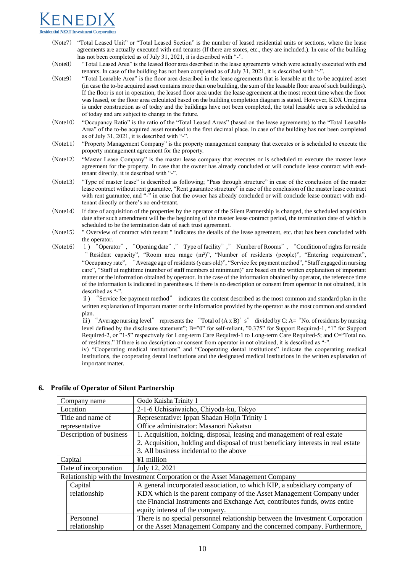# **Residential NEXT Investment Corporatio**

- (Note7) "Total Leased Unit" or "Total Leased Section" is the number of leased residential units or sections, where the lease agreements are actually executed with end tenants (If there are stores, etc., they are included.). In case of the building has not been completed as of July 31, 2021, it is described with "-".
- (Note8) "Total Leased Area" is the leased floor area described in the lease agreements which were actually executed with end tenants. In case of the building has not been completed as of July 31, 2021, it is described with "-".
- (Note9) "Total Leasable Area" is the floor area described in the lease agreements that is leasable at the to-be acquired asset (in case the to-be acquired asset contains more than one building, the sum of the leasable floor area of such buildings). If the floor is not in operation, the leased floor area under the lease agreement at the most recent time when the floor was leased, or the floor area calculated based on the building completion diagram is stated. However, KDX Umejima is under construction as of today and the buildings have not been completed, the total leasable area is scheduled as of today and are subject to change in the future.
- (Note10) "Occupancy Ratio" is the ratio of the "Total Leased Areas" (based on the lease agreements) to the "Total Leasable Area" of the to-be acquired asset rounded to the first decimal place. In case of the building has not been completed as of July 31, 2021, it is described with "-".
- (Note11) "Property Management Company" is the property management company that executes or is scheduled to execute the property management agreement for the property.
- (Note12) "Master Lease Company" is the master lease company that executes or is scheduled to execute the master lease agreement for the property. In case that the owner has already concluded or will conclude lease contract with endtenant directly, it is described with "-".
- (Note13) "Type of master lease" is described as following; "Pass through structure" in case of the conclusion of the master lease contract without rent guarantee, "Rent guarantee structure" in case of the conclusion of the master lease contract with rent guarantee, and "-" in case that the owner has already concluded or will conclude lease contract with endtenant directly or there's no end-tenant.
- (Note14) If date of acquisition of the properties by the operator of the Silent Partnership is changed, the scheduled acquisition date after such amendment will be the beginning of the master lease contract period, the termination date of which is scheduled to be the termination date of each trust agreement.
- (Note15) " Overview of contract with tenant " indicates the details of the lease agreement, etc. that has been concluded with the operator.
- (Note16) ⅰ) "Operator", "Opening date"," Type of facility"," Number of Rooms", "Condition of rights for reside " Resident capacity", "Room area range (m<sup>2</sup>)", "Number of residents (people)", "Entering requirement", "Occupancy rate", "Average age of residents(years old)", "Service fee payment method", "Staff engaged in nursing care", "Staff at nighttime (number of staff members at minimum)" are based on the written explanation of important matter or the information obtained by operator. In the case of the information obtained by operator, the reference time of the information is indicated in parentheses. If there is no description or consent from operator in not obtained, it is described as "-".

ⅱ) "Service fee payment method" indicates the content described as the most common and standard plan in the written explanation of important matter or the information provided by the operator as the most common and standard plan.

iii) "Average nursing level" represents the "Total of  $(A \times B)$ " s" divided by C: A= "No. of residents by nursing level defined by the disclosure statement"; B="0" for self-reliant, "0.375" for Support Required-1, "1" for Support Required-2, or "1-5" respectively for Long-term Care Required-1 to Long-term Care Required-5; and C="Total no. of residents." If there is no description or consent from operator in not obtained, it is described as "-".

iv) "Cooperating medical institutions" and "Cooperating dental institutions" indicate the cooperating medical institutions, the cooperating dental institutions and the designated medical institutions in the written explanation of important matter.

| Godo Kaisha Trinity 1<br>Company name                                        |                                                                                    |
|------------------------------------------------------------------------------|------------------------------------------------------------------------------------|
| 2-1-6 Uchisaiwaicho, Chiyoda-ku, Tokyo<br>Location                           |                                                                                    |
| Title and name of                                                            | Representative: Ippan Shadan Hojin Trinity 1                                       |
| representative                                                               | Office administrator: Masanori Nakatsu                                             |
| Description of business                                                      | 1. Acquisition, holding, disposal, leasing and management of real estate           |
|                                                                              | 2. Acquisition, holding and disposal of trust beneficiary interests in real estate |
| 3. All business incidental to the above                                      |                                                                                    |
| ¥1 million<br>Capital                                                        |                                                                                    |
| Date of incorporation<br>July 12, 2021                                       |                                                                                    |
| Relationship with the Investment Corporation or the Asset Management Company |                                                                                    |
| Capital                                                                      | A general incorporated association, to which KIP, a subsidiary company of          |
| relationship                                                                 | KDX which is the parent company of the Asset Management Company under              |
|                                                                              | the Financial Instruments and Exchange Act, contributes funds, owns entire         |
|                                                                              | equity interest of the company.                                                    |
| Personnel                                                                    | There is no special personnel relationship between the Investment Corporation      |
| relationship                                                                 | or the Asset Management Company and the concerned company. Furthermore,            |

## **6. Profile of Operator of Silent Partnership**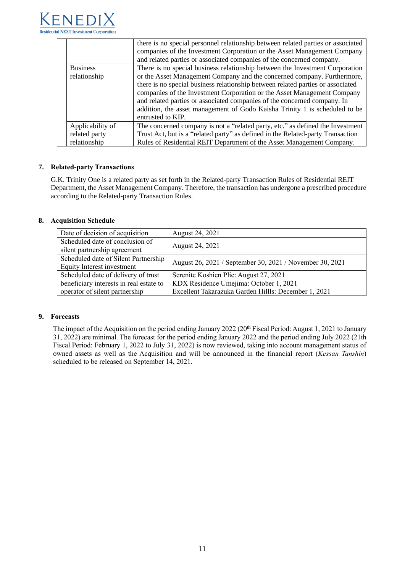

|                                 | there is no special personnel relationship between related parties or associated<br>companies of the Investment Corporation or the Asset Management Company<br>and related parties or associated companies of the concerned company.                                                                                                                                                                                                                                                                 |  |
|---------------------------------|------------------------------------------------------------------------------------------------------------------------------------------------------------------------------------------------------------------------------------------------------------------------------------------------------------------------------------------------------------------------------------------------------------------------------------------------------------------------------------------------------|--|
| <b>Business</b><br>relationship | There is no special business relationship between the Investment Corporation<br>or the Asset Management Company and the concerned company. Furthermore,<br>there is no special business relationship between related parties or associated<br>companies of the Investment Corporation or the Asset Management Company<br>and related parties or associated companies of the concerned company. In<br>addition, the asset management of Godo Kaisha Trinity 1 is scheduled to be<br>entrusted to KIP. |  |
| Applicability of                | The concerned company is not a "related party, etc." as defined the Investment                                                                                                                                                                                                                                                                                                                                                                                                                       |  |
| related party                   | Trust Act, but is a "related party" as defined in the Related-party Transaction                                                                                                                                                                                                                                                                                                                                                                                                                      |  |
| relationship                    | Rules of Residential REIT Department of the Asset Management Company.                                                                                                                                                                                                                                                                                                                                                                                                                                |  |

## **7. Related-party Transactions**

G.K. Trinity One is a related party as set forth in the Related-party Transaction Rules of Residential REIT Department, the Asset Management Company. Therefore, the transaction has undergone a prescribed procedure according to the Related-party Transaction Rules.

## **8. Acquisition Schedule**

| Date of decision of acquisition         | August 24, 2021                                          |  |
|-----------------------------------------|----------------------------------------------------------|--|
| Scheduled date of conclusion of         |                                                          |  |
| silent partnership agreement            | August 24, 2021                                          |  |
| Scheduled date of Silent Partnership    | August 26, 2021 / September 30, 2021 / November 30, 2021 |  |
| Equity Interest investment              |                                                          |  |
| Scheduled date of delivery of trust     | Serenite Koshien Plie: August 27, 2021                   |  |
| beneficiary interests in real estate to | KDX Residence Umejima: October 1, 2021                   |  |
| operator of silent partnership          | Excellent Takarazuka Garden Hillls: December 1, 2021     |  |

## **9. Forecasts**

The impact of the Acquisition on the period ending January 2022 (20<sup>th</sup> Fiscal Period: August 1, 2021 to January 31, 2022) are minimal. The forecast for the period ending January 2022 and the period ending July 2022 (21th Fiscal Period: February 1, 2022 to July 31, 2022) is now reviewed, taking into account management status of owned assets as well as the Acquisition and will be announced in the financial report (*Kessan Tanshin*) scheduled to be released on September 14, 2021.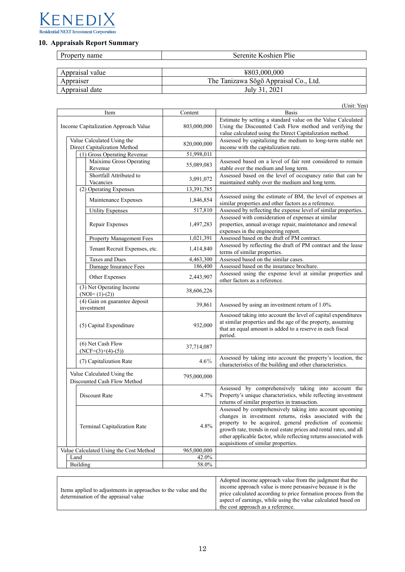

## **10. Appraisals Report Summary**

| Property name   | Serenite Koshien Plie                 |
|-----------------|---------------------------------------|
|                 |                                       |
| Appraisal value | ¥803,000,000                          |
| Appraiser       | The Tanizawa Sōgō Appraisal Co., Ltd. |
| Appraisal date  | July 31, 2021                         |

|                                                            |  |             | (Unit: Yen)                                                                                                                                                                                                                                                                                                                                                        |
|------------------------------------------------------------|--|-------------|--------------------------------------------------------------------------------------------------------------------------------------------------------------------------------------------------------------------------------------------------------------------------------------------------------------------------------------------------------------------|
| Item                                                       |  | Content     | <b>Basis</b>                                                                                                                                                                                                                                                                                                                                                       |
| Income Capitalization Approach Value                       |  | 803,000,000 | Estimate by setting a standard value on the Value Calculated<br>Using the Discounted Cash Flow method and verifying the<br>value calculated using the Direct Capitalization method.                                                                                                                                                                                |
| Value Calculated Using the<br>Direct Capitalization Method |  | 820,000,000 | Assessed by capitalizing the medium to long-term stable net<br>income with the capitalization rate.                                                                                                                                                                                                                                                                |
| (1) Gross Operating Revenue                                |  | 51,998,011  |                                                                                                                                                                                                                                                                                                                                                                    |
| Maiximu Gross Operating<br>Revenue                         |  | 55,089,083  | Assessed based on a level of fair rent considered to remain<br>stable over the medium and long term.                                                                                                                                                                                                                                                               |
| Shortfall Attributed to<br>Vacancies                       |  | 3,091,072   | Assessed based on the level of occupancy ratio that can be<br>maintained stably over the medium and long term.                                                                                                                                                                                                                                                     |
| (2) Operating Expenses                                     |  | 13,391,785  |                                                                                                                                                                                                                                                                                                                                                                    |
| Maintenance Expenses                                       |  | 1,846,854   | Assessed using the estimate of BM, the level of expenses at<br>similar properties and other factors as a reference.                                                                                                                                                                                                                                                |
| <b>Utility Expenses</b>                                    |  | 517,810     | Assessed by reflecting the expense level of similar properties.                                                                                                                                                                                                                                                                                                    |
| Repair Expenses                                            |  | 1,497,283   | Assessed with consideration of expenses at similar<br>properties, annual average repair, maintenance and renewal<br>expenses in the engineering report.                                                                                                                                                                                                            |
| <b>Property Management Fees</b>                            |  | 1,021,391   | Assessed based on the draft of PM contract.                                                                                                                                                                                                                                                                                                                        |
| Tenant Recruit Expenses, etc.                              |  | 1,414,840   | Assessed by reflecting the draft of PM contract and the lease<br>terms of similar properties.                                                                                                                                                                                                                                                                      |
| <b>Taxes and Dues</b>                                      |  | 4,463,300   | Assessed based on the similar cases                                                                                                                                                                                                                                                                                                                                |
| Damage Insurance Fees                                      |  | 186,400     | Assessed based on the insurance brochure.                                                                                                                                                                                                                                                                                                                          |
| Other Expenses                                             |  | 2,443,907   | Assessed using the expense level at similar properties and<br>other factors as a reference.                                                                                                                                                                                                                                                                        |
| (3) Net Operating Income<br>$(NOI=(1)-(2))$                |  | 38,606,226  |                                                                                                                                                                                                                                                                                                                                                                    |
| (4) Gain on guarantee deposit<br>investment                |  | 39,861      | Assessed by using an investment return of 1.0%.                                                                                                                                                                                                                                                                                                                    |
| (5) Capital Expenditure                                    |  | 932,000     | Assessed taking into account the level of capital expenditures<br>at similar properties and the age of the property, assuming<br>that an equal amount is added to a reserve in each fiscal<br>period.                                                                                                                                                              |
| (6) Net Cash Flow<br>$(NCF=(3)+(4)-(5))$                   |  | 37,714,087  |                                                                                                                                                                                                                                                                                                                                                                    |
| (7) Capitalization Rate                                    |  | 4.6%        | Assessed by taking into account the property's location, the<br>characteristics of the building and other characteristics.                                                                                                                                                                                                                                         |
| Value Calculated Using the<br>Discounted Cash Flow Method  |  | 795,000,000 |                                                                                                                                                                                                                                                                                                                                                                    |
| Discount Rate                                              |  | 4.7%        | Assessed by comprehensively taking into account the<br>Property's unique characteristics, while reflecting investment<br>returns of similar properties in transaction.                                                                                                                                                                                             |
| Terminal Capitalization Rate                               |  | 4.8%        | Assessed by comprehensively taking into account upcoming<br>changes in investment returns, risks associated with the<br>property to be acquired, general prediction of economic<br>growth rate, trends in real estate prices and rental rates, and all<br>other applicable factor, while reflecting returns associated with<br>acquisitions of similar properties. |
| Value Calculated Using the Cost Method                     |  | 965,000,000 |                                                                                                                                                                                                                                                                                                                                                                    |
| Land                                                       |  | 42.0%       |                                                                                                                                                                                                                                                                                                                                                                    |
| <b>Building</b>                                            |  | 58.0%       |                                                                                                                                                                                                                                                                                                                                                                    |

| Items applied to adjustments in approaches to the value and the<br>determination of the appraisal value | Adopted income approach value from the judgment that the<br>income approach value is more persuasive because it is the<br>price calculated according to price formation process from the<br>aspect of earnings, while using the value calculated based on<br>the cost approach as a reference. |
|---------------------------------------------------------------------------------------------------------|------------------------------------------------------------------------------------------------------------------------------------------------------------------------------------------------------------------------------------------------------------------------------------------------|
|---------------------------------------------------------------------------------------------------------|------------------------------------------------------------------------------------------------------------------------------------------------------------------------------------------------------------------------------------------------------------------------------------------------|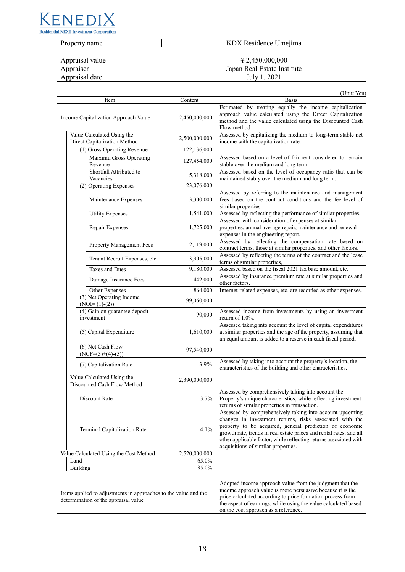

| Property name | KDX Residence Umejima |
|---------------|-----------------------|

| Appraisal value | $\text{\textsterling}2,450,000,000$ |
|-----------------|-------------------------------------|
| Appraiser       | Japan Real Estate Institute         |
| Appraisal date  | , 2021<br>July 1                    |

|                                      |                                                            |               | (Unit: Yen)                                                                                                                                                                                                                                                                                                                                                        |
|--------------------------------------|------------------------------------------------------------|---------------|--------------------------------------------------------------------------------------------------------------------------------------------------------------------------------------------------------------------------------------------------------------------------------------------------------------------------------------------------------------------|
| Item                                 |                                                            | Content       | <b>Basis</b>                                                                                                                                                                                                                                                                                                                                                       |
| Income Capitalization Approach Value |                                                            | 2,450,000,000 | Estimated by treating equally the income capitalization<br>approach value calculated using the Direct Capitalization<br>method and the value calculated using the Discounted Cash<br>Flow method.                                                                                                                                                                  |
|                                      | Value Calculated Using the<br>Direct Capitalization Method | 2,500,000,000 | Assessed by capitalizing the medium to long-term stable net<br>income with the capitalization rate.                                                                                                                                                                                                                                                                |
|                                      | (1) Gross Operating Revenue                                | 122,136,000   |                                                                                                                                                                                                                                                                                                                                                                    |
|                                      | Maiximu Gross Operating<br>Revenue                         | 127,454,000   | Assessed based on a level of fair rent considered to remain<br>stable over the medium and long term.                                                                                                                                                                                                                                                               |
|                                      | Shortfall Attributed to<br>Vacancies                       | 5,318,000     | Assessed based on the level of occupancy ratio that can be<br>maintained stably over the medium and long term.                                                                                                                                                                                                                                                     |
|                                      | (2) Operating Expenses                                     | 23,076,000    |                                                                                                                                                                                                                                                                                                                                                                    |
|                                      | Maintenance Expenses                                       | 3,300,000     | Assessed by referring to the maintenance and management<br>fees based on the contract conditions and the fee level of<br>similar properties.                                                                                                                                                                                                                       |
|                                      | <b>Utility Expenses</b>                                    | 1,541,000     | Assessed by reflecting the performance of similar properties.                                                                                                                                                                                                                                                                                                      |
|                                      | Repair Expenses                                            | 1,725,000     | Assessed with consideration of expenses at similar<br>properties, annual average repair, maintenance and renewal<br>expenses in the engineering report.                                                                                                                                                                                                            |
|                                      | <b>Property Management Fees</b>                            | 2,119,000     | Assessed by reflecting the compensation rate based on<br>contract terms, those at similar properties, and other factors.                                                                                                                                                                                                                                           |
|                                      | Tenant Recruit Expenses, etc.                              | 3,905,000     | Assessed by reflecting the terms of the contract and the lease<br>terms of similar properties,                                                                                                                                                                                                                                                                     |
|                                      | <b>Taxes and Dues</b>                                      | 9,180,000     | Assessed based on the fiscal 2021 tax base amount, etc.                                                                                                                                                                                                                                                                                                            |
|                                      | Damage Insurance Fees                                      | 442,000       | Assessed by insurance premium rate at similar properties and<br>other factors.                                                                                                                                                                                                                                                                                     |
|                                      | Other Expenses                                             | 864,000       | Internet-related expenses, etc. are recorded as other expenses.                                                                                                                                                                                                                                                                                                    |
|                                      | (3) Net Operating Income<br>$(NOI=(1)-(2))$                | 99,060,000    |                                                                                                                                                                                                                                                                                                                                                                    |
|                                      | (4) Gain on guarantee deposit<br>investment                | 90,000        | Assessed income from investments by using an investment<br>return of 1.0%.                                                                                                                                                                                                                                                                                         |
|                                      | (5) Capital Expenditure                                    | 1,610,000     | Assessed taking into account the level of capital expenditures<br>at similar properties and the age of the property, assuming that<br>an equal amount is added to a reserve in each fiscal period.                                                                                                                                                                 |
|                                      | (6) Net Cash Flow<br>$(NCF=(3)+(4)-(5))$                   | 97,540,000    |                                                                                                                                                                                                                                                                                                                                                                    |
|                                      | (7) Capitalization Rate                                    | 3.9%          | Assessed by taking into account the property's location, the<br>characteristics of the building and other characteristics.                                                                                                                                                                                                                                         |
|                                      | Value Calculated Using the<br>Discounted Cash Flow Method  | 2,390,000,000 |                                                                                                                                                                                                                                                                                                                                                                    |
|                                      | Discount Rate                                              | 3.7%          | Assessed by comprehensively taking into account the<br>Property's unique characteristics, while reflecting investment<br>returns of similar properties in transaction.                                                                                                                                                                                             |
|                                      | Terminal Capitalization Rate                               | 4.1%          | Assessed by comprehensively taking into account upcoming<br>changes in investment returns, risks associated with the<br>property to be acquired, general prediction of economic<br>growth rate, trends in real estate prices and rental rates, and all<br>other applicable factor, while reflecting returns associated with<br>acquisitions of similar properties. |
|                                      | Value Calculated Using the Cost Method                     | 2,520,000,000 |                                                                                                                                                                                                                                                                                                                                                                    |
|                                      | Land                                                       | 65.0%         |                                                                                                                                                                                                                                                                                                                                                                    |
|                                      | Building                                                   | 35.0%         |                                                                                                                                                                                                                                                                                                                                                                    |

| Items applied to adjustments in approaches to the value and the<br>determination of the appraisal value | Adopted income approach value from the judgment that the<br>income approach value is more persuasive because it is the<br>price calculated according to price formation process from<br>the aspect of earnings, while using the value calculated based |
|---------------------------------------------------------------------------------------------------------|--------------------------------------------------------------------------------------------------------------------------------------------------------------------------------------------------------------------------------------------------------|
|                                                                                                         |                                                                                                                                                                                                                                                        |
|                                                                                                         | on the cost approach as a reference.                                                                                                                                                                                                                   |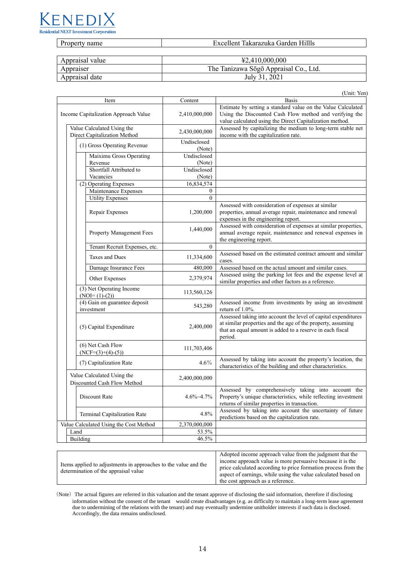

| $\overline{\phantom{a}}$<br>name<br>$\cdot$<br><b>.</b> | TH11.<br>----<br>$\sim$<br>۵n<br>ак<br>. .<br>яти<br>ти<br>ліка<br>31 I C I H |
|---------------------------------------------------------|-------------------------------------------------------------------------------|
|                                                         |                                                                               |

| Appraisal value | $\text{\textsterling}2.410.000.000$   |
|-----------------|---------------------------------------|
| Appraiser       | The Tanizawa Sōgō Appraisal Co., Ltd. |
| Appraisal date  | July 31, 2021                         |

(Unit: Yen)

| Item                                                       |                                                                                                |                                                           | Content               | <b>Basis</b>                                                                                                                                                                                          |
|------------------------------------------------------------|------------------------------------------------------------------------------------------------|-----------------------------------------------------------|-----------------------|-------------------------------------------------------------------------------------------------------------------------------------------------------------------------------------------------------|
| Income Capitalization Approach Value                       |                                                                                                |                                                           | 2,410,000,000         | Estimate by setting a standard value on the Value Calculated<br>Using the Discounted Cash Flow method and verifying the<br>value calculated using the Direct Capitalization method.                   |
| Value Calculated Using the<br>Direct Capitalization Method |                                                                                                |                                                           | 2,430,000,000         | Assessed by capitalizing the medium to long-term stable net<br>income with the capitalization rate.                                                                                                   |
|                                                            | (1) Gross Operating Revenue                                                                    |                                                           | Undisclosed<br>(Note) |                                                                                                                                                                                                       |
|                                                            |                                                                                                | Maiximu Gross Operating<br>Revenue                        | Undisclosed<br>(Note) |                                                                                                                                                                                                       |
|                                                            |                                                                                                | Shortfall Attributed to<br>Vacancies                      | Undisclosed<br>(Note) |                                                                                                                                                                                                       |
|                                                            |                                                                                                | (2) Operating Expenses                                    | 16,834,574            |                                                                                                                                                                                                       |
|                                                            |                                                                                                | Maintenance Expenses                                      | $\boldsymbol{0}$      |                                                                                                                                                                                                       |
|                                                            |                                                                                                | <b>Utility Expenses</b>                                   | $\Omega$              |                                                                                                                                                                                                       |
|                                                            |                                                                                                | Repair Expenses                                           | 1,200,000             | Assessed with consideration of expenses at similar<br>properties, annual average repair, maintenance and renewal<br>expenses in the engineering report.                                               |
|                                                            |                                                                                                | <b>Property Management Fees</b>                           | 1,440,000             | Assessed with consideration of expenses at similar properties,<br>annual average repair, maintenance and renewal expenses in<br>the engineering report.                                               |
|                                                            |                                                                                                | Tenant Recruit Expenses, etc.                             | $\boldsymbol{0}$      |                                                                                                                                                                                                       |
|                                                            |                                                                                                | Taxes and Dues                                            | 11,334,600            | Assessed based on the estimated contract amount and similar<br>cases.                                                                                                                                 |
|                                                            |                                                                                                | Damage Insurance Fees                                     | 480,000               | Assessed based on the actual amount and similar cases.                                                                                                                                                |
|                                                            |                                                                                                | Other Expenses                                            | 2,379,974             | Assessed using the parking lot fees and the expense level at<br>similar properties and other factors as a reference.                                                                                  |
|                                                            |                                                                                                | (3) Net Operating Income<br>$(NOI=(1)-(2))$               | 113,560,126           |                                                                                                                                                                                                       |
|                                                            |                                                                                                | (4) Gain on guarantee deposit<br>investment               | 543,280               | Assessed income from investments by using an investment<br>return of $1.0\%$ .                                                                                                                        |
|                                                            | (5) Capital Expenditure<br>(6) Net Cash Flow<br>$(NCF=(3)+(4)-(5))$<br>(7) Capitalization Rate |                                                           | 2,400,000             | Assessed taking into account the level of capital expenditures<br>at similar properties and the age of the property, assuming<br>that an equal amount is added to a reserve in each fiscal<br>period. |
|                                                            |                                                                                                |                                                           | 111,703,406           |                                                                                                                                                                                                       |
|                                                            |                                                                                                |                                                           | $4.6\%$               | Assessed by taking into account the property's location, the<br>characteristics of the building and other characteristics.                                                                            |
|                                                            |                                                                                                | Value Calculated Using the<br>Discounted Cash Flow Method | 2,400,000,000         |                                                                                                                                                                                                       |
|                                                            |                                                                                                | Discount Rate                                             | $4.6\% - 4.7\%$       | Assessed by comprehensively taking into account the<br>Property's unique characteristics, while reflecting investment<br>returns of similar properties in transaction.                                |
|                                                            |                                                                                                | Terminal Capitalization Rate                              | 4.8%                  | Assessed by taking into account the uncertainty of future<br>predictions based on the capitalization rate.                                                                                            |
|                                                            |                                                                                                | Value Calculated Using the Cost Method                    | 2,370,000,000         |                                                                                                                                                                                                       |
| Land                                                       |                                                                                                |                                                           | 53.5%                 |                                                                                                                                                                                                       |
| Building                                                   |                                                                                                |                                                           | 46.5%                 |                                                                                                                                                                                                       |

(Note) The actual figures are referred in this valuation and the tenant approve of disclosing the said information, therefore if disclosing information without the consent of the tenant would create disadvantages (e.g. as difficulty to maintain a long-term lease agreement due to undermining of the relations with the tenant) and may eventually undermine unitholder interests if such data is disclosed. Accordingly, the data remains undisclosed.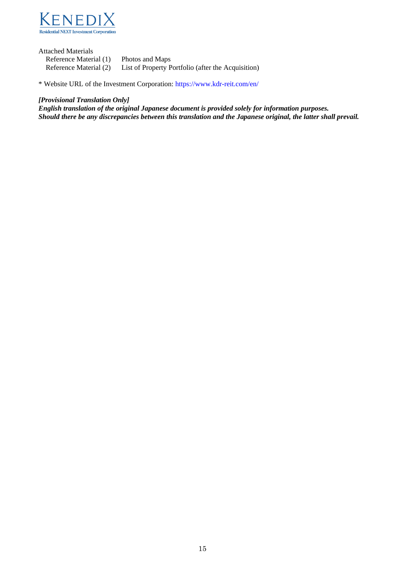

Attached Materials Reference Material (1) Photos and Maps Reference Material (2) List of Property Portfolio (after the Acquisition)

\* Website URL of the Investment Corporation: <https://www.kdr-reit.com/en/>

## *[Provisional Translation Only]*

*English translation of the original Japanese document is provided solely for information purposes. Should there be any discrepancies between this translation and the Japanese original, the latter shall prevail.*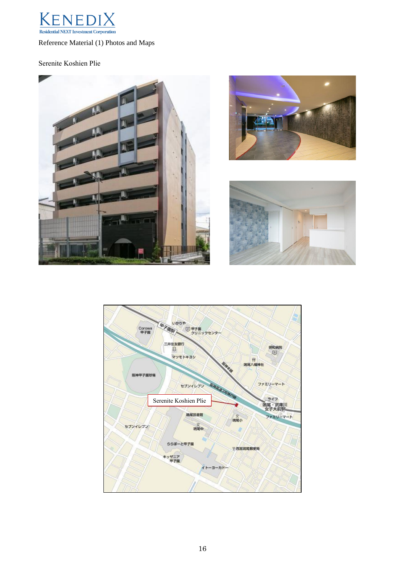

Reference Material (1) Photos and Maps

## Serenite Koshien Plie







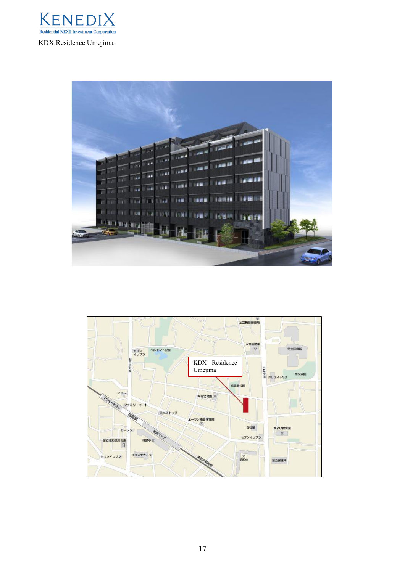



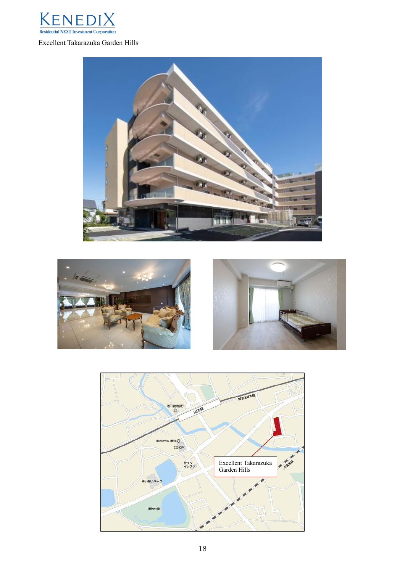

# Excellent Takarazuka Garden Hills







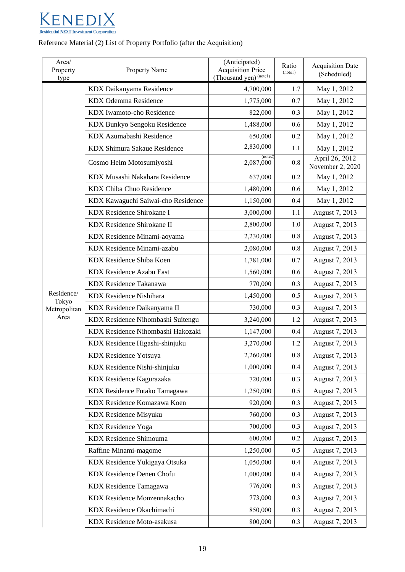

## Reference Material (2) List of Property Portfolio (after the Acquisition)

| Area/<br>Property<br>type | Property Name                      | (Anticipated)<br><b>Acquisition Price</b><br>(Thousand yen) <sup>(notel)</sup> | Ratio<br>(note1) | <b>Acquisition Date</b><br>(Scheduled) |
|---------------------------|------------------------------------|--------------------------------------------------------------------------------|------------------|----------------------------------------|
|                           | KDX Daikanyama Residence           | 4,700,000                                                                      | 1.7              | May 1, 2012                            |
|                           | KDX Odemma Residence               | 1,775,000                                                                      | 0.7              | May 1, 2012                            |
|                           | KDX Iwamoto-cho Residence          | 822,000                                                                        | 0.3              | May 1, 2012                            |
|                           | KDX Bunkyo Sengoku Residence       | 1,488,000                                                                      | 0.6              | May 1, 2012                            |
|                           | KDX Azumabashi Residence           | 650,000                                                                        | 0.2              | May 1, 2012                            |
|                           | KDX Shimura Sakaue Residence       | 2,830,000                                                                      | 1.1              | May 1, 2012                            |
|                           | Cosmo Heim Motosumiyoshi           | (note2)<br>2,087,000                                                           | 0.8              | April 26, 2012<br>November 2, 2020     |
|                           | KDX Musashi Nakahara Residence     | 637,000                                                                        | 0.2              | May 1, 2012                            |
|                           | KDX Chiba Chuo Residence           | 1,480,000                                                                      | 0.6              | May 1, 2012                            |
|                           | KDX Kawaguchi Saiwai-cho Residence | 1,150,000                                                                      | 0.4              | May 1, 2012                            |
|                           | KDX Residence Shirokane I          | 3,000,000                                                                      | 1.1              | August 7, 2013                         |
|                           | KDX Residence Shirokane II         | 2,800,000                                                                      | 1.0              | August 7, 2013                         |
|                           | KDX Residence Minami-aoyama        | 2,230,000                                                                      | 0.8              | August 7, 2013                         |
|                           | KDX Residence Minami-azabu         | 2,080,000                                                                      | 0.8              | August 7, 2013                         |
|                           | KDX Residence Shiba Koen           | 1,781,000                                                                      | 0.7              | August 7, 2013                         |
|                           | <b>KDX Residence Azabu East</b>    | 1,560,000                                                                      | 0.6              | August 7, 2013                         |
|                           | <b>KDX</b> Residence Takanawa      | 770,000                                                                        | 0.3              | August 7, 2013                         |
| Residence/<br>Tokyo       | <b>KDX Residence Nishihara</b>     | 1,450,000                                                                      | 0.5              | August 7, 2013                         |
| Metropolitan              | KDX Residence Daikanyama II        | 730,000                                                                        | 0.3              | August 7, 2013                         |
| Area                      | KDX Residence Nihombashi Suitengu  | 3,240,000                                                                      | 1.2              | August 7, 2013                         |
|                           | KDX Residence Nihombashi Hakozaki  | 1,147,000                                                                      | 0.4              | August 7, 2013                         |
|                           | KDX Residence Higashi-shinjuku     | 3,270,000                                                                      | 1.2              | August 7, 2013                         |
|                           | <b>KDX</b> Residence Yotsuya       | 2,260,000                                                                      | 0.8              | August 7, 2013                         |
|                           | KDX Residence Nishi-shinjuku       | 1,000,000                                                                      | 0.4              | August 7, 2013                         |
|                           | KDX Residence Kagurazaka           | 720,000                                                                        | 0.3              | August 7, 2013                         |
|                           | KDX Residence Futako Tamagawa      | 1,250,000                                                                      | 0.5              | August 7, 2013                         |
|                           | KDX Residence Komazawa Koen        | 920,000                                                                        | 0.3              | August 7, 2013                         |
|                           | KDX Residence Misyuku              | 760,000                                                                        | 0.3              | August 7, 2013                         |
|                           | <b>KDX</b> Residence Yoga          | 700,000                                                                        | 0.3              | August 7, 2013                         |
|                           | <b>KDX</b> Residence Shimouma      | 600,000                                                                        | 0.2              | August 7, 2013                         |
|                           | Raffine Minami-magome              | 1,250,000                                                                      | 0.5              | August 7, 2013                         |
|                           | KDX Residence Yukigaya Otsuka      | 1,050,000                                                                      | 0.4              | August 7, 2013                         |
|                           | KDX Residence Denen Chofu          | 1,000,000                                                                      | 0.4              | August 7, 2013                         |
|                           | KDX Residence Tamagawa             | 776,000                                                                        | 0.3              | August 7, 2013                         |
|                           | KDX Residence Monzennakacho        | 773,000                                                                        | 0.3              | August 7, 2013                         |
|                           | KDX Residence Okachimachi          | 850,000                                                                        | 0.3              | August 7, 2013                         |
|                           | KDX Residence Moto-asakusa         | 800,000                                                                        | 0.3              | August 7, 2013                         |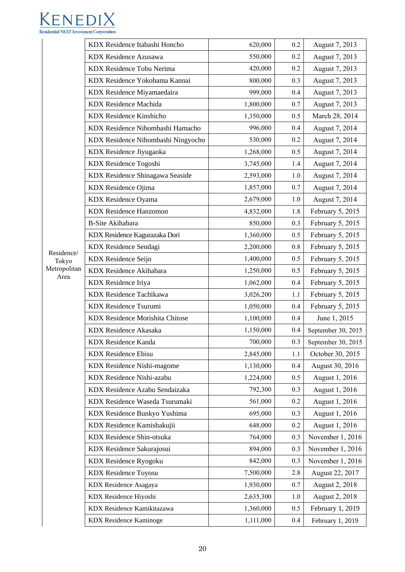

|                      | KDX Residence Itabashi Honcho      | 620,000   | 0.2     | August 7, 2013     |
|----------------------|------------------------------------|-----------|---------|--------------------|
|                      | <b>KDX</b> Residence Azusawa       | 550,000   | 0.2     | August 7, 2013     |
|                      | KDX Residence Tobu Nerima          | 420,000   | 0.2     | August 7, 2013     |
|                      | KDX Residence Yokohama Kannai      | 800,000   | 0.3     | August 7, 2013     |
|                      | KDX Residence Miyamaedaira         | 999,000   | 0.4     | August 7, 2013     |
|                      | <b>KDX</b> Residence Machida       | 1,800,000 | 0.7     | August 7, 2013     |
|                      | <b>KDX</b> Residence Kinshicho     | 1,350,000 | 0.5     | March 28, 2014     |
|                      | KDX Residence Nihombashi Hamacho   | 996,000   | 0.4     | August 7, 2014     |
|                      | KDX Residence Nihombashi Ningyocho | 530,000   | 0.2     | August 7, 2014     |
|                      | KDX Residence Jiyugaoka            | 1,268,000 | 0.5     | August 7, 2014     |
|                      | KDX Residence Togoshi              | 3,745,000 | 1.4     | August 7, 2014     |
|                      | KDX Residence Shinagawa Seaside    | 2,593,000 | 1.0     | August 7, 2014     |
|                      | KDX Residence Ojima                | 1,857,000 | 0.7     | August 7, 2014     |
|                      | KDX Residence Oyama                | 2,679,000 | 1.0     | August 7, 2014     |
|                      | <b>KDX</b> Residence Hanzomon      | 4,832,000 | 1.8     | February 5, 2015   |
|                      | <b>B-Site Akihabara</b>            | 850,000   | 0.3     | February 5, 2015   |
|                      | KDX Residence Kagurazaka Dori      | 1,360,000 | 0.5     | February 5, 2015   |
|                      | KDX Residence Sendagi              | 2,200,000 | $0.8\,$ | February 5, 2015   |
| Residence/<br>Tokyo  | <b>KDX</b> Residence Seijo         | 1,400,000 | 0.5     | February 5, 2015   |
| Metropolitan<br>Area | KDX Residence Akihabara            | 1,250,000 | 0.5     | February 5, 2015   |
|                      | KDX Residence Iriya                | 1,062,000 | 0.4     | February 5, 2015   |
|                      | KDX Residence Tachikawa            | 3,026,200 | 1.1     | February 5, 2015   |
|                      | <b>KDX Residence Tsurumi</b>       | 1,050,000 | 0.4     | February 5, 2015   |
|                      | KDX Residence Morishita Chitose    | 1,100,000 | 0.4     | June 1, 2015       |
|                      | KDX Residence Akasaka              | 1,150,000 | 0.4     | September 30, 2015 |
|                      | KDX Residence Kanda                | 700,000   | 0.3     | September 30, 2015 |
|                      | <b>KDX</b> Residence Ebisu         | 2,845,000 | 1.1     | October 30, 2015   |
|                      | KDX Residence Nishi-magome         | 1,130,000 | 0.4     | August 30, 2016    |
|                      | KDX Residence Nishi-azabu          | 1,224,000 | 0.5     | August 1, 2016     |
|                      | KDX Residence Azabu Sendaizaka     | 792,300   | 0.3     | August 1, 2016     |
|                      | KDX Residence Waseda Tsurumaki     | 561,000   | 0.2     | August 1, 2016     |
|                      | KDX Residence Bunkyo Yushima       | 695,000   | 0.3     | August 1, 2016     |
|                      | KDX Residence Kamishakujii         | 648,000   | 0.2     | August 1, 2016     |
|                      | KDX Residence Shin-otsuka          | 764,000   | 0.3     | November 1, 2016   |
|                      | KDX Residence Sakurajosui          | 894,000   | 0.3     | November 1, 2016   |
|                      | KDX Residence Ryogoku              | 842,000   | 0.3     | November 1, 2016   |
|                      | <b>KDX</b> Residence Toyosu        | 7,500,000 | 2.8     | August 22, 2017    |
|                      | KDX Residence Asagaya              | 1,930,000 | 0.7     | August 2, 2018     |
|                      | KDX Residence Hiyoshi              | 2,635,300 | $1.0\,$ | August 2, 2018     |
|                      | KDX Residence Kamikitazawa         | 1,360,000 | 0.5     | February 1, 2019   |
|                      | <b>KDX</b> Residence Kaminoge      | 1,111,000 | 0.4     | February 1, 2019   |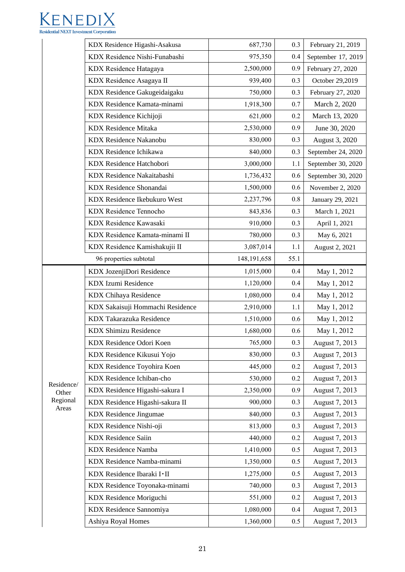

|                     | KDX Residence Higashi-Asakusa       | 687,730       | 0.3  | February 21, 2019  |
|---------------------|-------------------------------------|---------------|------|--------------------|
|                     | KDX Residence Nishi-Funabashi       | 975,350       | 0.4  | September 17, 2019 |
|                     | KDX Residence Hatagaya              | 2,500,000     | 0.9  | February 27, 2020  |
|                     | KDX Residence Asagaya II            | 939,400       | 0.3  | October 29,2019    |
|                     | KDX Residence Gakugeidaigaku        | 750,000       | 0.3  | February 27, 2020  |
|                     | KDX Residence Kamata-minami         | 1,918,300     | 0.7  | March 2, 2020      |
|                     | KDX Residence Kichijoji             | 621,000       | 0.2  | March 13, 2020     |
|                     | <b>KDX</b> Residence Mitaka         | 2,530,000     | 0.9  | June 30, 2020      |
|                     | <b>KDX Residence Nakanobu</b>       | 830,000       | 0.3  | August 3, 2020     |
|                     | KDX Residence Ichikawa              | 840,000       | 0.3  | September 24, 2020 |
|                     | KDX Residence Hatchobori            | 3,000,000     | 1.1  | September 30, 2020 |
|                     | KDX Residence Nakaitabashi          | 1,736,432     | 0.6  | September 30, 2020 |
|                     | <b>KDX</b> Residence Shonandai      | 1,500,000     | 0.6  | November 2, 2020   |
|                     | <b>KDX Residence Ikebukuro West</b> | 2,237,796     | 0.8  | January 29, 2021   |
|                     | <b>KDX</b> Residence Tennocho       | 843,836       | 0.3  | March 1, 2021      |
|                     | KDX Residence Kawasaki              | 910,000       | 0.3  | April 1, 2021      |
|                     | KDX Residence Kamata-minami II      | 780,000       | 0.3  | May 6, 2021        |
|                     | KDX Residence Kamishakujii II       | 3,087,014     | 1.1  | August 2, 2021     |
|                     | 96 properties subtotal              | 148, 191, 658 | 55.1 |                    |
|                     | KDX JozenjiDori Residence           | 1,015,000     | 0.4  | May 1, 2012        |
|                     | KDX Izumi Residence                 | 1,120,000     | 0.4  | May 1, 2012        |
|                     | KDX Chihaya Residence               | 1,080,000     | 0.4  | May 1, 2012        |
|                     | KDX Sakaisuji Hommachi Residence    | 2,910,000     | 1.1  | May 1, 2012        |
|                     | KDX Takarazuka Residence            | 1,510,000     | 0.6  | May 1, 2012        |
|                     | KDX Shimizu Residence               | 1,680,000     | 0.6  | May 1, 2012        |
|                     | KDX Residence Odori Koen            | 765,000       | 0.3  | August 7, 2013     |
|                     | KDX Residence Kikusui Yojo          | 830,000       | 0.3  | August 7, 2013     |
|                     | KDX Residence Toyohira Koen         | 445,000       | 0.2  | August 7, 2013     |
|                     | KDX Residence Ichiban-cho           | 530,000       | 0.2  | August 7, 2013     |
| Residence/<br>Other | KDX Residence Higashi-sakura I      | 2,350,000     | 0.9  | August 7, 2013     |
| Regional<br>Areas   | KDX Residence Higashi-sakura II     | 900,000       | 0.3  | August 7, 2013     |
|                     | <b>KDX</b> Residence Jingumae       | 840,000       | 0.3  | August 7, 2013     |
|                     | KDX Residence Nishi-oji             | 813,000       | 0.3  | August 7, 2013     |
|                     | <b>KDX</b> Residence Saiin          | 440,000       | 0.2  | August 7, 2013     |
|                     | <b>KDX</b> Residence Namba          | 1,410,000     | 0.5  | August 7, 2013     |
|                     | KDX Residence Namba-minami          | 1,350,000     | 0.5  | August 7, 2013     |
|                     | KDX Residence Ibaraki I·II          | 1,275,000     | 0.5  | August 7, 2013     |
|                     | KDX Residence Toyonaka-minami       | 740,000       | 0.3  | August 7, 2013     |
|                     | KDX Residence Moriguchi             | 551,000       | 0.2  | August 7, 2013     |
|                     | KDX Residence Sannomiya             | 1,080,000     | 0.4  | August 7, 2013     |
|                     | Ashiya Royal Homes                  | 1,360,000     | 0.5  | August 7, 2013     |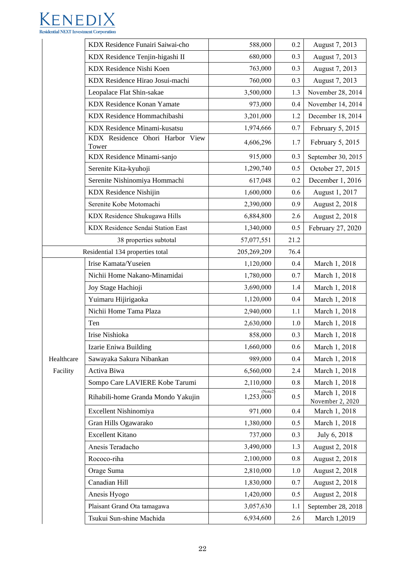

|            | KDX Residence Funairi Saiwai-cho         | 588,000             | 0.2  | August 7, 2013                    |
|------------|------------------------------------------|---------------------|------|-----------------------------------|
|            | KDX Residence Tenjin-higashi II          | 680,000             | 0.3  | August 7, 2013                    |
|            | KDX Residence Nishi Koen                 | 763,000             | 0.3  | August 7, 2013                    |
|            | KDX Residence Hirao Josui-machi          | 760,000             | 0.3  | August 7, 2013                    |
|            | Leopalace Flat Shin-sakae                | 3,500,000           | 1.3  | November 28, 2014                 |
|            | <b>KDX Residence Konan Yamate</b>        | 973,000             | 0.4  | November 14, 2014                 |
|            | KDX Residence Hommachibashi              | 3,201,000           | 1.2  | December 18, 2014                 |
|            | KDX Residence Minami-kusatsu             | 1,974,666           | 0.7  | February 5, 2015                  |
|            | KDX Residence Ohori Harbor View<br>Tower | 4,606,296           | 1.7  | February 5, 2015                  |
|            | KDX Residence Minami-sanjo               | 915,000             | 0.3  | September 30, 2015                |
|            | Serenite Kita-kyuhoji                    | 1,290,740           | 0.5  | October 27, 2015                  |
|            | Serenite Nishinomiya Hommachi            | 617,048             | 0.2  | December 1, 2016                  |
|            | <b>KDX</b> Residence Nishijin            | 1,600,000           | 0.6  | August 1, 2017                    |
|            | Serenite Kobe Motomachi                  | 2,390,000           | 0.9  | August 2, 2018                    |
|            | KDX Residence Shukugawa Hills            | 6,884,800           | 2.6  | August 2, 2018                    |
|            | KDX Residence Sendai Station East        | 1,340,000           | 0.5  | February 27, 2020                 |
|            | 38 properties subtotal                   | 57,077,551          | 21.2 |                                   |
|            | Residential 134 properties total         | 205,269,209         | 76.4 |                                   |
|            | Irise Kamata/Yuseien                     | 1,120,000           | 0.4  | March 1, 2018                     |
|            | Nichii Home Nakano-Minamidai             | 1,780,000           | 0.7  | March 1, 2018                     |
|            | Joy Stage Hachioji                       | 3,690,000           | 1.4  | March 1, 2018                     |
|            | Yuimaru Hijirigaoka                      | 1,120,000           | 0.4  | March 1, 2018                     |
|            | Nichii Home Tama Plaza                   | 2,940,000           | 1.1  | March 1, 2018                     |
|            | Ten                                      | 2,630,000           | 1.0  | March 1, 2018                     |
|            | Irise Nishioka                           | 858,000             | 0.3  | March 1, 2018                     |
|            | Izarie Eniwa Building                    | 1,660,000           | 0.6  | March 1, 2018                     |
| Healthcare | Sawayaka Sakura Nibankan                 | 989,000             | 0.4  | March 1, 2018                     |
| Facility   | Activa Biwa                              | 6,560,000           | 2.4  | March 1, 2018                     |
|            | Sompo Care LAVIERE Kobe Tarumi           | 2,110,000           | 0.8  | March 1, 2018                     |
|            | Rihabili-home Granda Mondo Yakujin       | (Note2<br>1,253,000 | 0.5  | March 1, 2018<br>November 2, 2020 |
|            | Excellent Nishinomiya                    | 971,000             | 0.4  | March 1, 2018                     |
|            | Gran Hills Ogawarako                     | 1,380,000           | 0.5  | March 1, 2018                     |
|            | <b>Excellent Kitano</b>                  | 737,000             | 0.3  | July 6, 2018                      |
|            | Anesis Teradacho                         | 3,490,000           | 1.3  | August 2, 2018                    |
|            | Rococo-riha                              | 2,100,000           | 0.8  | August 2, 2018                    |
|            | Orage Suma                               | 2,810,000           | 1.0  | August 2, 2018                    |
|            | Canadian Hill                            | 1,830,000           | 0.7  | August 2, 2018                    |
|            | Anesis Hyogo                             | 1,420,000           | 0.5  | August 2, 2018                    |
|            | Plaisant Grand Ota tamagawa              | 3,057,630           | 1.1  | September 28, 2018                |
|            | Tsukui Sun-shine Machida                 | 6,934,600           | 2.6  | March 1,2019                      |